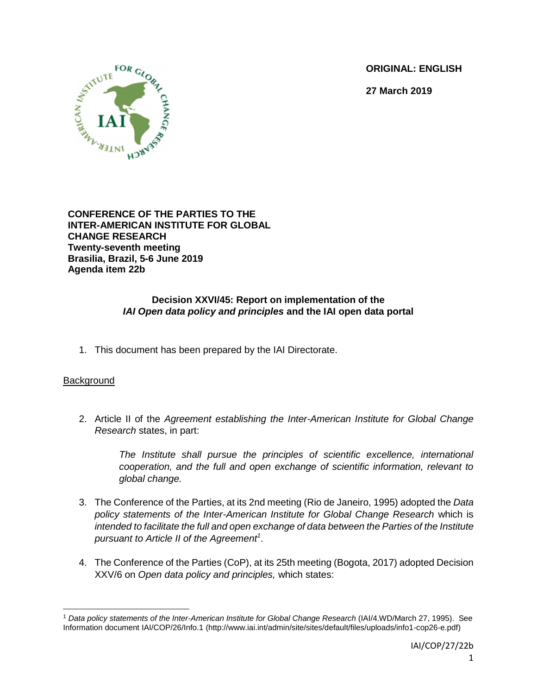**ORIGINAL: ENGLISH**

**27 March 2019**



**CONFERENCE OF THE PARTIES TO THE INTER-AMERICAN INSTITUTE FOR GLOBAL CHANGE RESEARCH Twenty-seventh meeting Brasilia, Brazil, 5-6 June 2019 Agenda item 22b**

## **Decision XXVI/45: Report on implementation of the**  *IAI Open data policy and principles* **and the IAI open data portal**

1. This document has been prepared by the IAI Directorate.

## **Background**

2. Article II of the *Agreement establishing the Inter-American Institute for Global Change Research* states, in part:

> *The Institute shall pursue the principles of scientific excellence, international cooperation, and the full and open exchange of scientific information, relevant to global change.*

- 3. The Conference of the Parties, at its 2nd meeting (Rio de Janeiro, 1995) adopted the *Data policy statements of the Inter-American Institute for Global Change Research* which is *intended to facilitate the full and open exchange of data between the Parties of the Institute pursuant to Article II of the Agreement<sup>1</sup>* .
- 4. The Conference of the Parties (CoP), at its 25th meeting (Bogota, 2017) adopted Decision XXV/6 on *Open data policy and principles,* which states:

 $\overline{\phantom{a}}$ <sup>1</sup> *Data policy statements of the Inter-American Institute for Global Change Research* (IAI/4.WD/March 27, 1995). See Information document IAI/COP/26/Info.1 (http://www.iai.int/admin/site/sites/default/files/uploads/info1-cop26-e.pdf)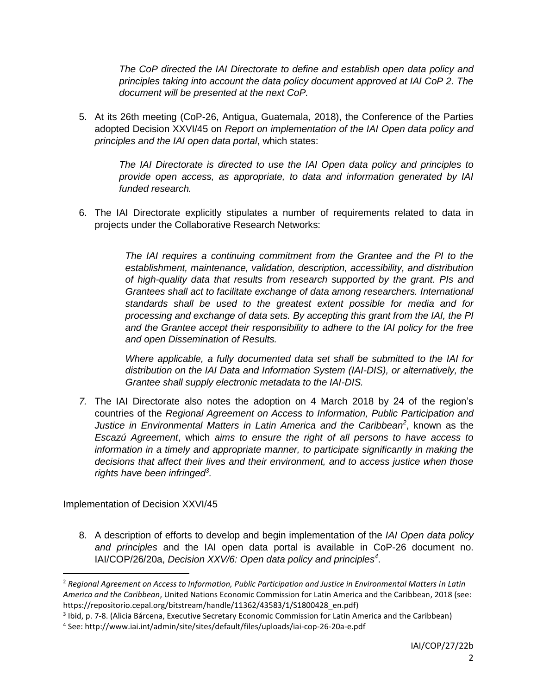*The CoP directed the IAI Directorate to define and establish open data policy and principles taking into account the data policy document approved at IAI CoP 2. The document will be presented at the next CoP.*

5. At its 26th meeting (CoP-26, Antigua, Guatemala, 2018), the Conference of the Parties adopted Decision XXVI/45 on *Report on implementation of the IAI Open data policy and principles and the IAI open data portal*, which states:

> *The IAI Directorate is directed to use the IAI Open data policy and principles to provide open access, as appropriate, to data and information generated by IAI funded research.*

6. The IAI Directorate explicitly stipulates a number of requirements related to data in projects under the Collaborative Research Networks:

> *The IAI requires a continuing commitment from the Grantee and the PI to the establishment, maintenance, validation, description, accessibility, and distribution of high-quality data that results from research supported by the grant. PIs and Grantees shall act to facilitate exchange of data among researchers. International standards shall be used to the greatest extent possible for media and for processing and exchange of data sets. By accepting this grant from the IAI, the PI and the Grantee accept their responsibility to adhere to the IAI policy for the free and open Dissemination of Results.*

> *Where applicable, a fully documented data set shall be submitted to the IAI for distribution on the IAI Data and Information System (IAI-DIS), or alternatively, the Grantee shall supply electronic metadata to the IAI-DIS.*

*7.* The IAI Directorate also notes the adoption on 4 March 2018 by 24 of the region's countries of the *Regional Agreement on Access to Information, Public Participation and Justice in Environmental Matters in Latin America and the Caribbean<sup>2</sup>* , known as the *Escazú Agreement*, which *aims to ensure the right of all persons to have access to information in a timely and appropriate manner, to participate significantly in making the decisions that affect their lives and their environment, and to access justice when those rights have been infringed<sup>3</sup> .*

## Implementation of Decision XXVI/45

 $\overline{\phantom{a}}$ 

8. A description of efforts to develop and begin implementation of the *IAI Open data policy and principles* and the IAI open data portal is available in CoP-26 document no. IAI/COP/26/20a, *Decision XXV/6: Open data policy and principles<sup>4</sup>* .

<sup>2</sup> *Regional Agreement on Access to Information, Public Participation and Justice in Environmental Matters in Latin America and the Caribbean*, United Nations Economic Commission for Latin America and the Caribbean, 2018 (see: https://repositorio.cepal.org/bitstream/handle/11362/43583/1/S1800428\_en.pdf)

<sup>&</sup>lt;sup>3</sup> Ibid, p. 7-8. (Alicia Bárcena, Executive Secretary Economic Commission for Latin America and the Caribbean)

<sup>4</sup> See: http://www.iai.int/admin/site/sites/default/files/uploads/iai-cop-26-20a-e.pdf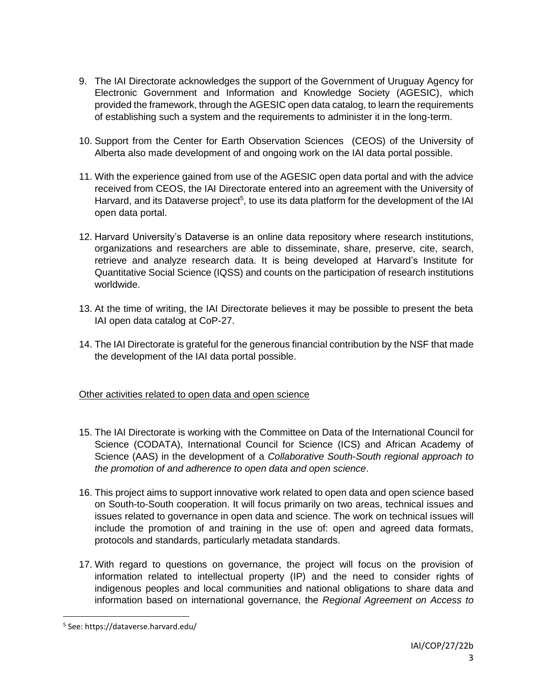- 9. The IAI Directorate acknowledges the support of the Government of Uruguay Agency for Electronic Government and Information and Knowledge Society (AGESIC), which provided the framework, through the AGESIC open data catalog, to learn the requirements of establishing such a system and the requirements to administer it in the long-term.
- 10. Support from the Center for Earth Observation Sciences (CEOS) of the University of Alberta also made development of and ongoing work on the IAI data portal possible.
- 11. With the experience gained from use of the AGESIC open data portal and with the advice received from CEOS, the IAI Directorate entered into an agreement with the University of Harvard, and its Dataverse project<sup>5</sup>, to use its data platform for the development of the IAI open data portal.
- 12. Harvard University's Dataverse is an online data repository where research institutions, organizations and researchers are able to disseminate, share, preserve, cite, search, retrieve and analyze research data. It is being developed at Harvard's Institute for Quantitative Social Science (IQSS) and counts on the participation of research institutions worldwide.
- 13. At the time of writing, the IAI Directorate believes it may be possible to present the beta IAI open data catalog at CoP-27.
- 14. The IAI Directorate is grateful for the generous financial contribution by the NSF that made the development of the IAI data portal possible.

# Other activities related to open data and open science

- 15. The IAI Directorate is working with the Committee on Data of the International Council for Science (CODATA), International Council for Science (ICS) and African Academy of Science (AAS) in the development of a *Collaborative South-South regional approach to the promotion of and adherence to open data and open science*.
- 16. This project aims to support innovative work related to open data and open science based on South-to-South cooperation. It will focus primarily on two areas, technical issues and issues related to governance in open data and science. The work on technical issues will include the promotion of and training in the use of: open and agreed data formats, protocols and standards, particularly metadata standards.
- 17. With regard to questions on governance, the project will focus on the provision of information related to intellectual property (IP) and the need to consider rights of indigenous peoples and local communities and national obligations to share data and information based on international governance, the *Regional Agreement on Access to*

 $\overline{\phantom{a}}$ 

<sup>5</sup> See: https://dataverse.harvard.edu/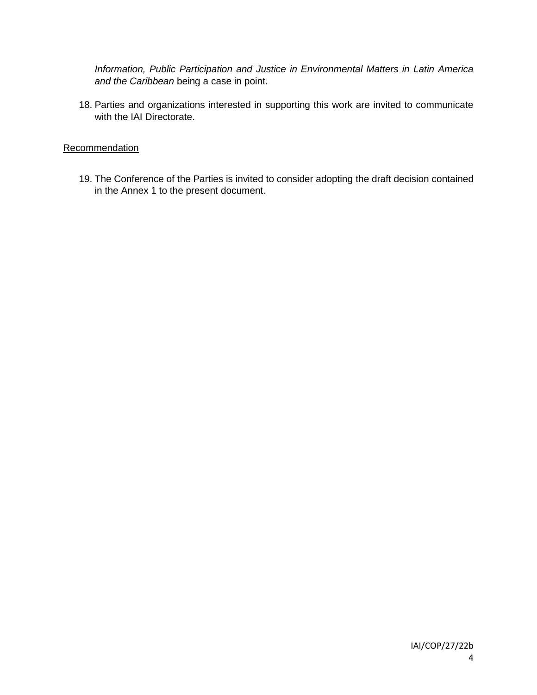*Information, Public Participation and Justice in Environmental Matters in Latin America and the Caribbean* being a case in point.

18. Parties and organizations interested in supporting this work are invited to communicate with the IAI Directorate.

## **Recommendation**

19. The Conference of the Parties is invited to consider adopting the draft decision contained in the Annex 1 to the present document.